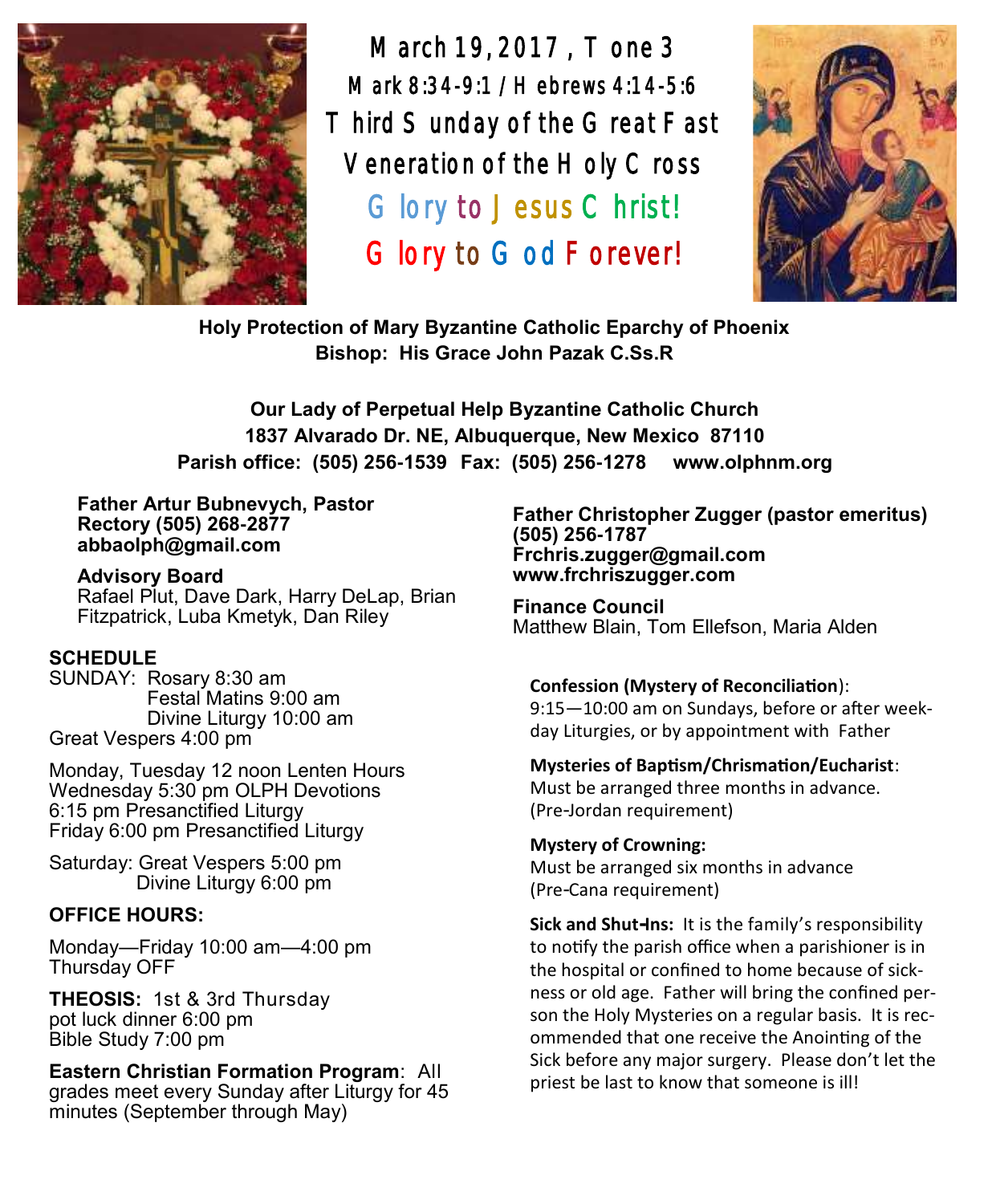

March 19, 2017 , Tone 3 Mark 8:34-9:1 /Hebrews 4:14-5:6 Third Sunday of the Great Fast Veneration of the Holy Cross Glory to Jesus Christ! Glory to God Forever!



**Holy Protection of Mary Byzantine Catholic Eparchy of Phoenix Bishop: His Grace John Pazak C.Ss.R**

**Our Lady of Perpetual Help Byzantine Catholic Church 1837 Alvarado Dr. NE, Albuquerque, New Mexico 87110 Parish office: (505) 256-1539 Fax: (505) 256-1278 www.olphnm.org**

#### **Father Artur Bubnevych, Pastor Rectory (505) 268-2877 abbaolph@gmail.com**

**Advisory Board**  Rafael Plut, Dave Dark, Harry DeLap, Brian Fitzpatrick, Luba Kmetyk, Dan Riley

# **SCHEDULE**

SUNDAY: Rosary 8:30 am Festal Matins 9:00 am Divine Liturgy 10:00 am Great Vespers 4:00 pm

Monday, Tuesday 12 noon Lenten Hours Wednesday 5:30 pm OLPH Devotions 6:15 pm Presanctified Liturgy Friday 6:00 pm Presanctified Liturgy

Saturday: Great Vespers 5:00 pm Divine Liturgy 6:00 pm

# **OFFICE HOURS:**

Monday—Friday 10:00 am—4:00 pm Thursday OFF

**THEOSIS:** 1st & 3rd Thursday pot luck dinner 6:00 pm Bible Study 7:00 pm

**Eastern Christian Formation Program**: All grades meet every Sunday after Liturgy for 45 minutes (September through May)

**Father Christopher Zugger (pastor emeritus) (505) 256-1787 Frchris.zugger@gmail.com www.frchriszugger.com** 

**Finance Council**  Matthew Blain, Tom Ellefson, Maria Alden

### **Confession (Mystery of Reconciliation**):

9:15—10:00 am on Sundays, before or after weekday Liturgies, or by appointment with Father

### **Mysteries of Baptism/Chrismation/Eucharist**:

Must be arranged three months in advance. (Pre-Jordan requirement)

### **Mystery of Crowning:**  Must be arranged six months in advance (Pre-Cana requirement)

**Sick and Shut-Ins:** It is the family's responsibility to notify the parish office when a parishioner is in the hospital or confined to home because of sickness or old age. Father will bring the confined person the Holy Mysteries on a regular basis. It is recommended that one receive the Anointing of the Sick before any major surgery. Please don't let the priest be last to know that someone is ill!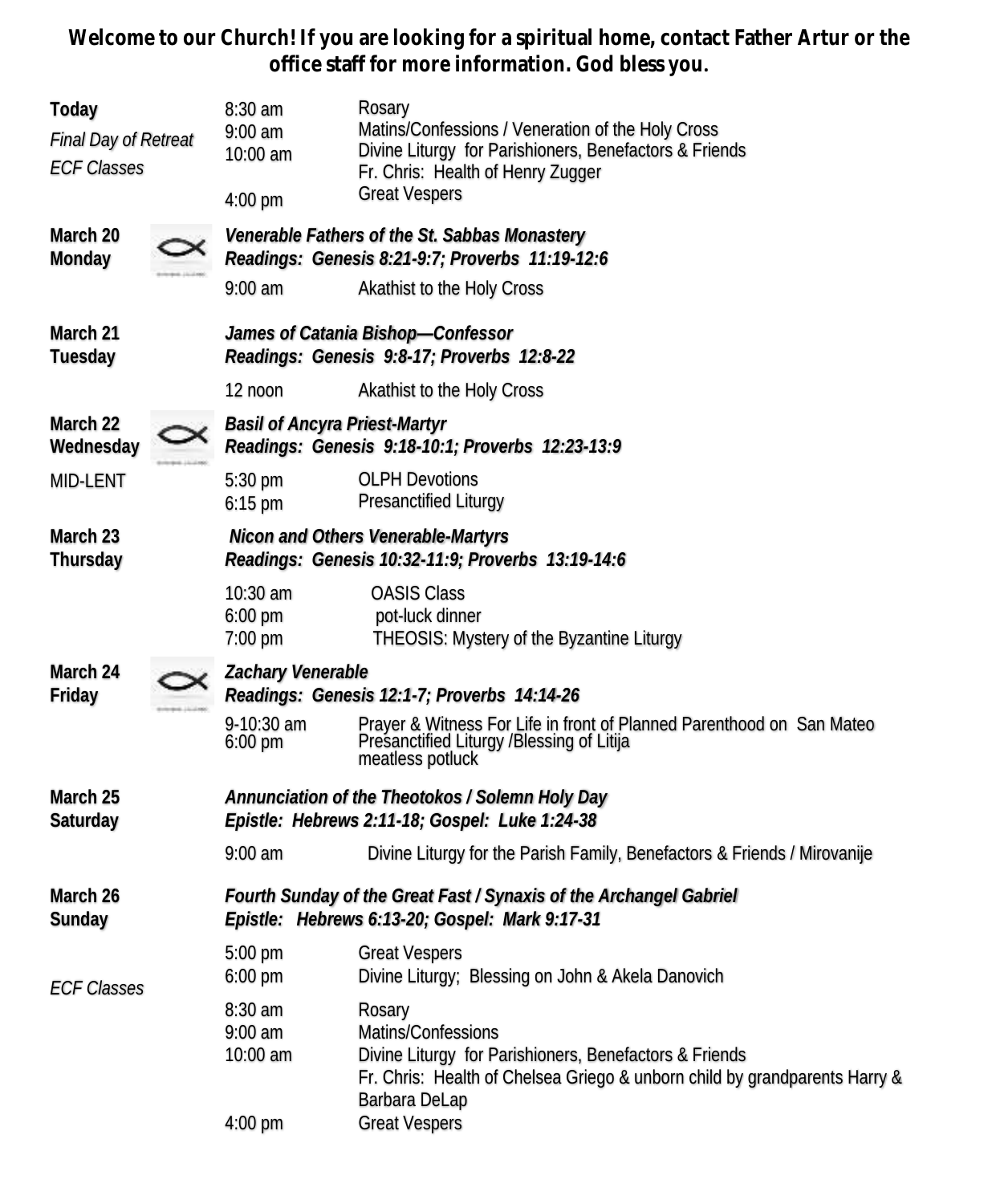**Welcome to our Church! If you are looking for a spiritual home, contact Father Artur or the office staff for more information. God bless you.**

| Today<br><b>Final Day of Retreat</b><br><b>ECF Classes</b> | $8:30$ am<br>$9:00$ am<br>10:00 am<br>4:00 pm                                                                                               | Rosary<br>Matins/Confessions / Veneration of the Holy Cross<br>Divine Liturgy for Parishioners, Benefactors & Friends<br>Fr. Chris: Health of Henry Zugger<br><b>Great Vespers</b>    |  |  |
|------------------------------------------------------------|---------------------------------------------------------------------------------------------------------------------------------------------|---------------------------------------------------------------------------------------------------------------------------------------------------------------------------------------|--|--|
| March 20<br>Monday                                         | Venerable Fathers of the St. Sabbas Monastery<br>Readings: Genesis 8:21-9:7; Proverbs 11:19-12:6<br>$9:00$ am<br>Akathist to the Holy Cross |                                                                                                                                                                                       |  |  |
| March 21<br>Tuesday                                        | James of Catania Bishop-Confessor<br>Readings: Genesis 9:8-17; Proverbs 12:8-22                                                             |                                                                                                                                                                                       |  |  |
|                                                            | 12 noon                                                                                                                                     | Akathist to the Holy Cross                                                                                                                                                            |  |  |
| March 22<br>Wednesday                                      | <b>Basil of Ancyra Priest-Martyr</b><br>Readings: Genesis 9:18-10:1; Proverbs 12:23-13:9                                                    |                                                                                                                                                                                       |  |  |
| MID-LENT                                                   | 5:30 pm<br>$6:15$ pm                                                                                                                        | <b>OLPH Devotions</b><br>Presanctified Liturgy                                                                                                                                        |  |  |
| March 23<br>Thursday                                       | Nicon and Others Venerable-Martyrs<br>Readings: Genesis 10:32-11:9; Proverbs 13:19-14:6                                                     |                                                                                                                                                                                       |  |  |
|                                                            | 10:30 am<br>$6:00$ pm<br>7:00 pm                                                                                                            | <b>OASIS Class</b><br>pot-luck dinner<br>THEOSIS: Mystery of the Byzantine Liturgy                                                                                                    |  |  |
| March 24<br>Friday                                         | Zachary Venerable                                                                                                                           | Readings: Genesis 12:1-7; Proverbs 14:14-26                                                                                                                                           |  |  |
|                                                            | 9-10:30 am<br>$6:00 \text{ pm}$                                                                                                             | Prayer & Witness For Life in front of Planned Parenthood on San Mateo<br>Presanctified Liturgy /Blessing of Litija<br>meatless potluck                                                |  |  |
| March 25<br>Saturday                                       | Annunciation of the Theotokos / Solemn Holy Day<br>Epistle: Hebrews 2:11-18; Gospel: Luke 1:24-38                                           |                                                                                                                                                                                       |  |  |
|                                                            | $9:00$ am                                                                                                                                   | Divine Liturgy for the Parish Family, Benefactors & Friends / Mirovanije                                                                                                              |  |  |
| March 26<br>Sunday                                         | Fourth Sunday of the Great Fast / Synaxis of the Archangel Gabriel<br>Epistle: Hebrews 6:13-20; Gospel: Mark 9:17-31                        |                                                                                                                                                                                       |  |  |
| <b>ECF Classes</b>                                         | $5:00 \text{ pm}$<br>6:00 pm                                                                                                                | <b>Great Vespers</b><br>Divine Liturgy; Blessing on John & Akela Danovich                                                                                                             |  |  |
|                                                            | 8:30 am<br>$9:00$ am<br>10:00 am                                                                                                            | Rosary<br>Matins/Confessions<br>Divine Liturgy for Parishioners, Benefactors & Friends<br>Fr. Chris: Health of Chelsea Griego & unborn child by grandparents Harry &<br>Barbara DeLap |  |  |
|                                                            | 4:00 pm                                                                                                                                     | <b>Great Vespers</b>                                                                                                                                                                  |  |  |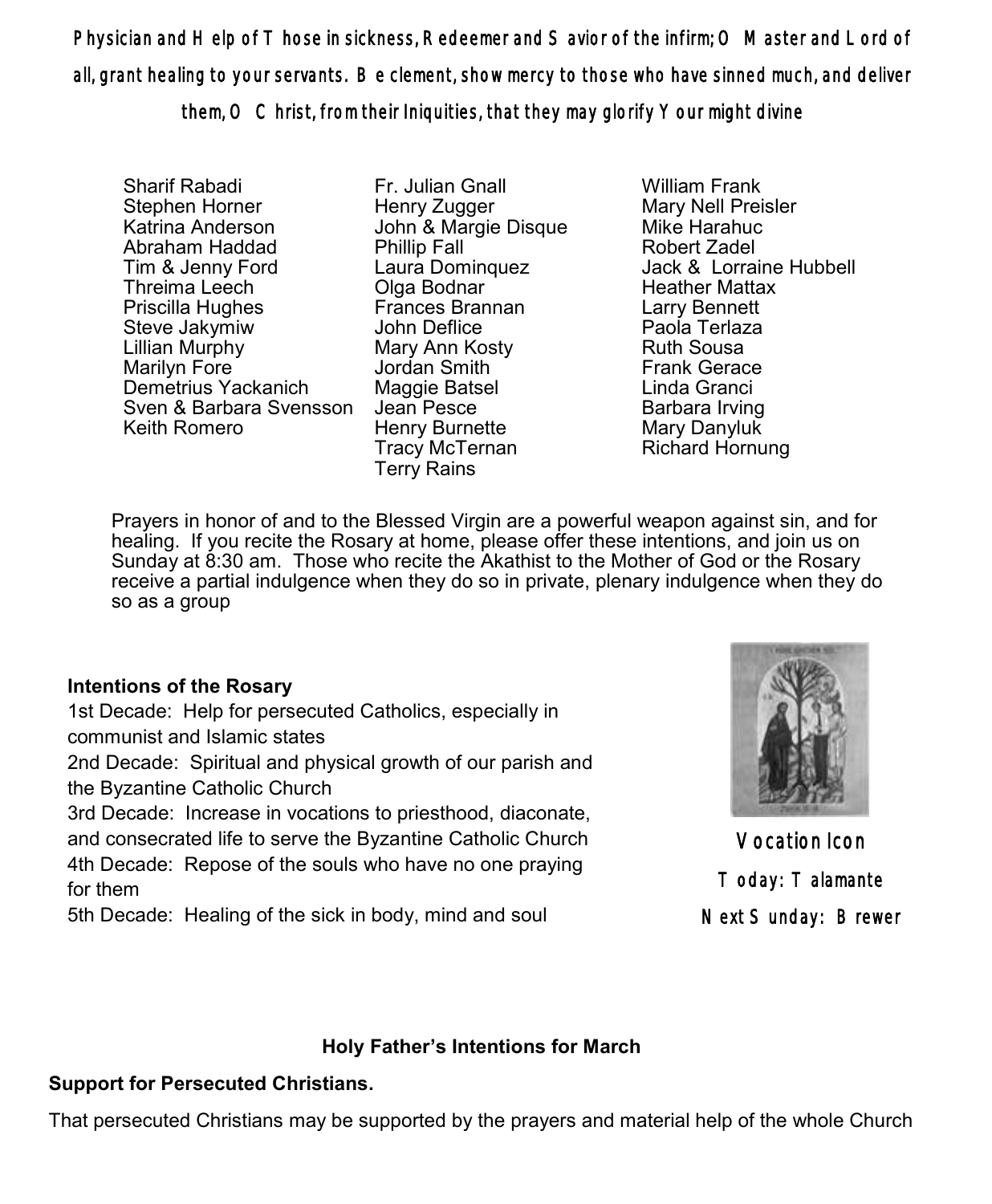Physician and Help of Those in sickness, Redeemer and Savior of the infirm; O Master and Lord of all, grant healing to your servants. Be clement, show mercy to those who have sinned much, and deliver them, O Christ, from their Iniquities, that they may glorify Your might divine

Sharif Rabadi Stephen Horner Katrina Anderson Abraham Haddad Tim & Jenny Ford Threima Leech Priscilla Hughes Steve Jakymiw Lillian Murphy Marilyn Fore Demetrius Yackanich Sven & Barbara Svensson Keith Romero

Fr. Julian Gnall Henry Zugger John & Margie Disque Phillip Fall Laura Dominquez Olga Bodnar Frances Brannan John Deflice Mary Ann Kosty Jordan Smith Maggie Batsel Jean Pesce Henry Burnette Tracy McTernan Terry Rains

William Frank Mary Nell Preisler Mike Harahuc Robert Zadel Jack & Lorraine Hubbell Heather Mattax Larry Bennett Paola Terlaza Ruth Sousa Frank Gerace Linda Granci Barbara Irving Mary Danyluk Richard Hornung

Prayers in honor of and to the Blessed Virgin are a powerful weapon against sin, and for healing. If you recite the Rosary at home, please offer these intentions, and join us on Sunday at 8:30 am. Those who recite the Akathist to the Mother of God or the Rosary receive a partial indulgence when they do so in private, plenary indulgence when they do so as a group

# **Intentions of the Rosary**

1st Decade: Help for persecuted Catholics, especially in communist and Islamic states

2nd Decade: Spiritual and physical growth of our parish and the Byzantine Catholic Church

3rd Decade: Increase in vocations to priesthood, diaconate, and consecrated life to serve the Byzantine Catholic Church 4th Decade: Repose of the souls who have no one praying for them

5th Decade: Healing of the sick in body, mind and soul



Vocation Icon Today: Talamante Next Sunday: Brewer

# **Holy Father's Intentions for March**

# **Support for Persecuted Christians.**

That persecuted Christians may be supported by the prayers and material help of the whole Church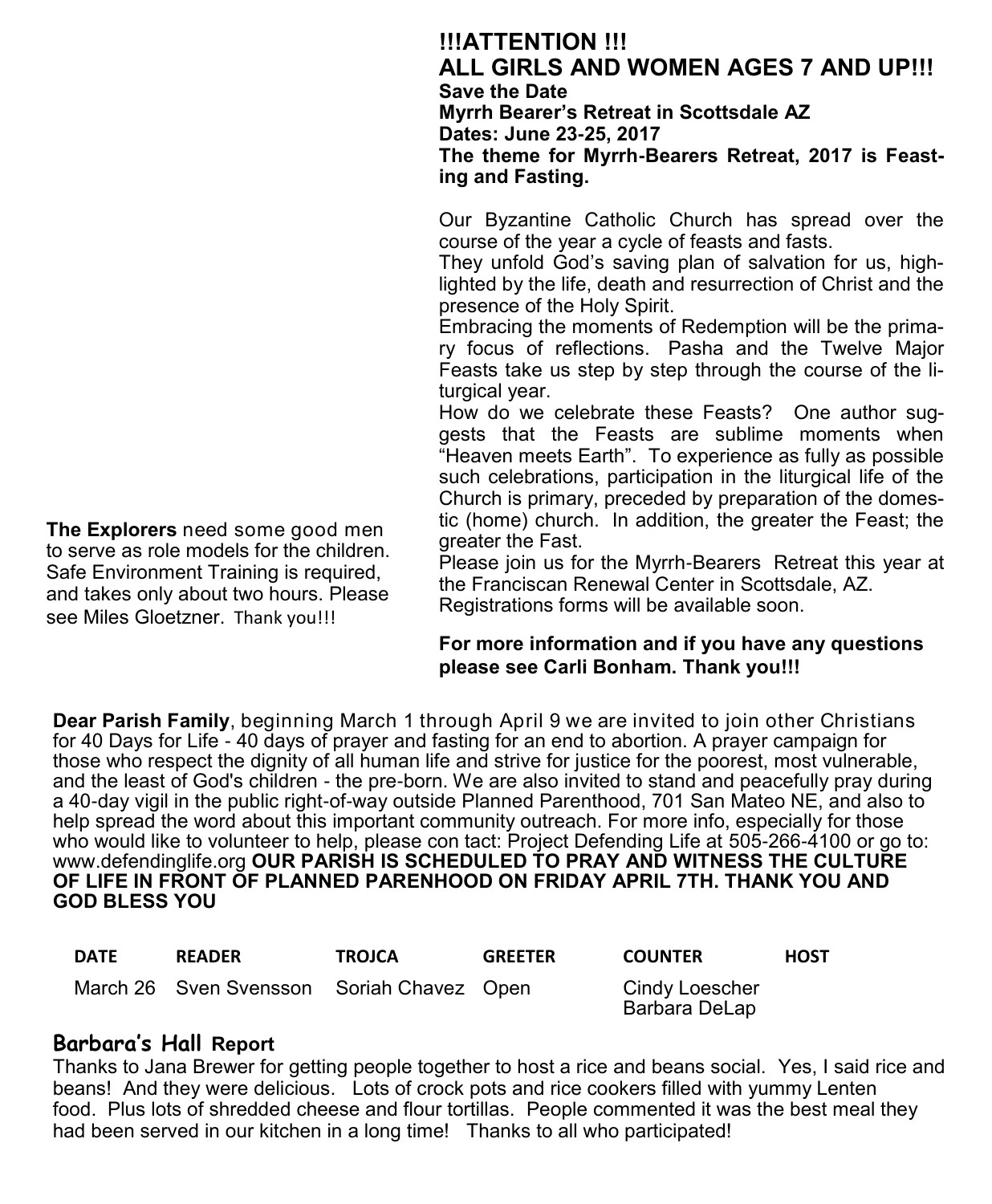# **!!!ATTENTION !!! ALL GIRLS AND WOMEN AGES 7 AND UP!!! Save the Date Myrrh Bearer's Retreat in Scottsdale AZ Dates: June 23-25, 2017 The theme for Myrrh-Bearers Retreat, 2017 is Feasting and Fasting.**

Our Byzantine Catholic Church has spread over the course of the year a cycle of feasts and fasts.

They unfold God's saving plan of salvation for us, highlighted by the life, death and resurrection of Christ and the presence of the Holy Spirit.

Embracing the moments of Redemption will be the primary focus of reflections. Pasha and the Twelve Major Feasts take us step by step through the course of the liturgical year.

How do we celebrate these Feasts? One author suggests that the Feasts are sublime moments when "Heaven meets Earth". To experience as fully as possible such celebrations, participation in the liturgical life of the Church is primary, preceded by preparation of the domestic (home) church. In addition, the greater the Feast; the greater the Fast.

Please join us for the Myrrh-Bearers Retreat this year at the Franciscan Renewal Center in Scottsdale, AZ. Registrations forms will be available soon.

### **For more information and if you have any questions please see Carli Bonham. Thank you!!!**

**Dear Parish Family**, beginning March 1 through April 9 we are invited to join other Christians for 40 Days for Life - 40 days of prayer and fasting for an end to abortion. A prayer campaign for those who respect the dignity of all human life and strive for justice for the poorest, most vulnerable, and the least of God's children - the pre-born. We are also invited to stand and peacefully pray during a 40-day vigil in the public right-of-way outside Planned Parenthood, 701 San Mateo NE, and also to help spread the word about this important community outreach. For more info, especially for those who would like to volunteer to help, please con tact: Project Defending Life at 505-266-[4100](tel:%28505%29%20266-4100) or go to: [www.defendinglife.org](http://www.defendinglife.org) **OUR PARISH IS SCHEDULED TO PRAY AND WITNESS THE CULTURE OF LIFE IN FRONT OF PLANNED PARENHOOD ON FRIDAY APRIL 7TH. THANK YOU AND GOD BLESS YOU**

| <b>DATE</b> | <b>READER</b>                             | <b>TROJCA</b> | <b>GREETER</b> | <b>COUNTER</b>                  | <b>HOST</b> |
|-------------|-------------------------------------------|---------------|----------------|---------------------------------|-------------|
|             | March 26 Sven Svensson Soriah Chavez Open |               |                | Cindy Loescher<br>Barbara DeLap |             |

# **Barbara's Hall Report**

Thanks to Jana Brewer for getting people together to host a rice and beans social. Yes, I said rice and beans! And they were delicious. Lots of crock pots and rice cookers filled with yummy Lenten food. Plus lots of shredded cheese and flour tortillas. People commented it was the best meal they had been served in our kitchen in a long time! Thanks to all who participated!

**The Explorers** need some good men to serve as role models for the children. Safe Environment Training is required, and takes only about two hours. Please see Miles Gloetzner. Thank you!!!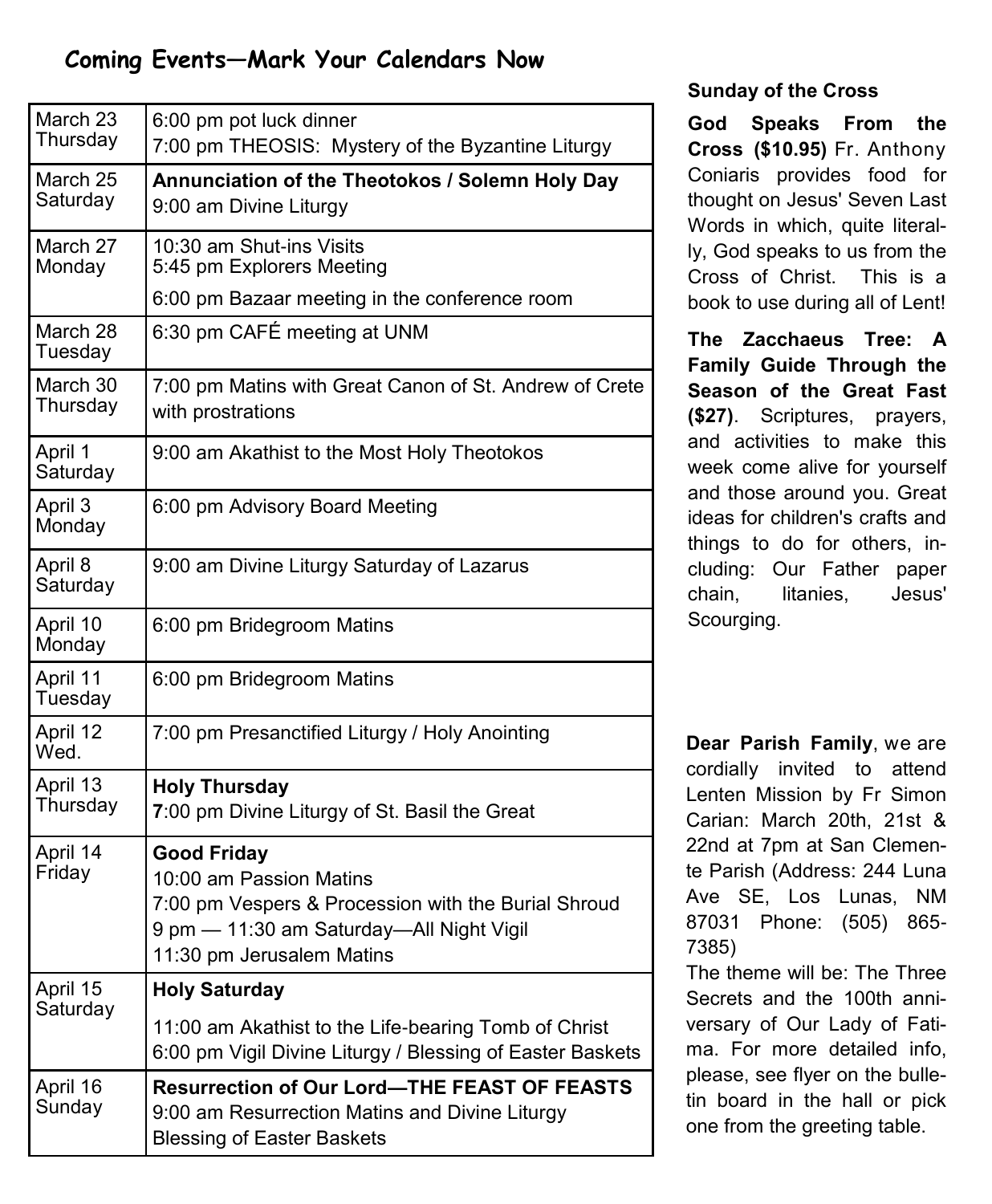# **Coming Events—Mark Your Calendars Now**

| March 23<br>Thursday | 6:00 pm pot luck dinner<br>7:00 pm THEOSIS: Mystery of the Byzantine Liturgy                                                                                                  |  |  |  |  |
|----------------------|-------------------------------------------------------------------------------------------------------------------------------------------------------------------------------|--|--|--|--|
| March 25<br>Saturday | Annunciation of the Theotokos / Solemn Holy Day<br>9:00 am Divine Liturgy                                                                                                     |  |  |  |  |
| March 27<br>Monday   | 10:30 am Shut-ins Visits<br>5:45 pm Explorers Meeting                                                                                                                         |  |  |  |  |
|                      | 6:00 pm Bazaar meeting in the conference room                                                                                                                                 |  |  |  |  |
| March 28<br>Tuesday  | 6:30 pm CAFÉ meeting at UNM                                                                                                                                                   |  |  |  |  |
| March 30<br>Thursday | 7:00 pm Matins with Great Canon of St. Andrew of Crete<br>with prostrations                                                                                                   |  |  |  |  |
| April 1<br>Saturday  | 9:00 am Akathist to the Most Holy Theotokos                                                                                                                                   |  |  |  |  |
| April 3<br>Monday    | 6:00 pm Advisory Board Meeting                                                                                                                                                |  |  |  |  |
| April 8<br>Saturday  | 9:00 am Divine Liturgy Saturday of Lazarus                                                                                                                                    |  |  |  |  |
| April 10<br>Monday   | 6:00 pm Bridegroom Matins                                                                                                                                                     |  |  |  |  |
| April 11<br>Tuesday  | 6:00 pm Bridegroom Matins                                                                                                                                                     |  |  |  |  |
| April 12<br>Wed.     | 7:00 pm Presanctified Liturgy / Holy Anointing                                                                                                                                |  |  |  |  |
| April 13<br>Thursday | <b>Holy Thursday</b><br>7:00 pm Divine Liturgy of St. Basil the Great                                                                                                         |  |  |  |  |
| April 14<br>Friday   | <b>Good Friday</b><br>10:00 am Passion Matins<br>7:00 pm Vespers & Procession with the Burial Shroud<br>9 pm - 11:30 am Saturday-All Night Vigil<br>11:30 pm Jerusalem Matins |  |  |  |  |
| April 15             | <b>Holy Saturday</b>                                                                                                                                                          |  |  |  |  |
| Saturday             | 11:00 am Akathist to the Life-bearing Tomb of Christ<br>6:00 pm Vigil Divine Liturgy / Blessing of Easter Baskets                                                             |  |  |  |  |
| April 16<br>Sunday   | <b>Resurrection of Our Lord-THE FEAST OF FEASTS</b><br>9:00 am Resurrection Matins and Divine Liturgy<br><b>Blessing of Easter Baskets</b>                                    |  |  |  |  |

## **Sunday of the Cross**

**God Speaks From the Cross (\$10.95)** Fr. Anthony Coniaris provides food for thought on Jesus' Seven Last Words in which, quite literally, God speaks to us from the Cross of Christ. This is a book to use during all of Lent!

**The Zacchaeus Tree: A Family Guide Through the Season of the Great Fast (\$27)**. Scriptures, prayers, and activities to make this week come alive for yourself and those around you. Great ideas for children's crafts and things to do for others, including: Our Father paper chain, litanies, Jesus' Scourging.

**Dear Parish Family**, we are cordially invited to attend Lenten Mission by Fr Simon Carian: March 20th, 21st & 22nd at 7pm at San Clemente Parish ([Address:](https://www.google.com/search?q=san+clemente+church+address&stick=H4sIAAAAAAAAAOPgE-LWT9c3LMkzMCzItdCSzU620s_JT04syczPgzOsElNSilKLiwGy70QSLgAAAA&sa=X&ved=0ahUKEwjLz_eV34TSAhVN1GMKHRcLBAcQ6BMIfzAQ) 244 Luna Ave SE, Los Lunas, NM 87031 [Phone:](https://www.google.com/search?q=san+clemente+church+phone&stick=H4sIAAAAAAAAAOPgE-LWT9c3LMkzMCzItdDSz0620k_Oz8lJTS7JzM_Tz87LL89JTUlPjS9IzEvNKdbPSCyOL8jIz0u1ApMA5plbIkAAAAA&sa=X&ved=0ahUKEwjLz_eV34TSAhVN1GMKHRcLBAcQ6BMIggEwEQ) (505) 865- 7385)

The theme will be: The Three Secrets and the 100th anniversary of Our Lady of Fatima. For more detailed info, please, see flyer on the bulletin board in the hall or pick one from the greeting table.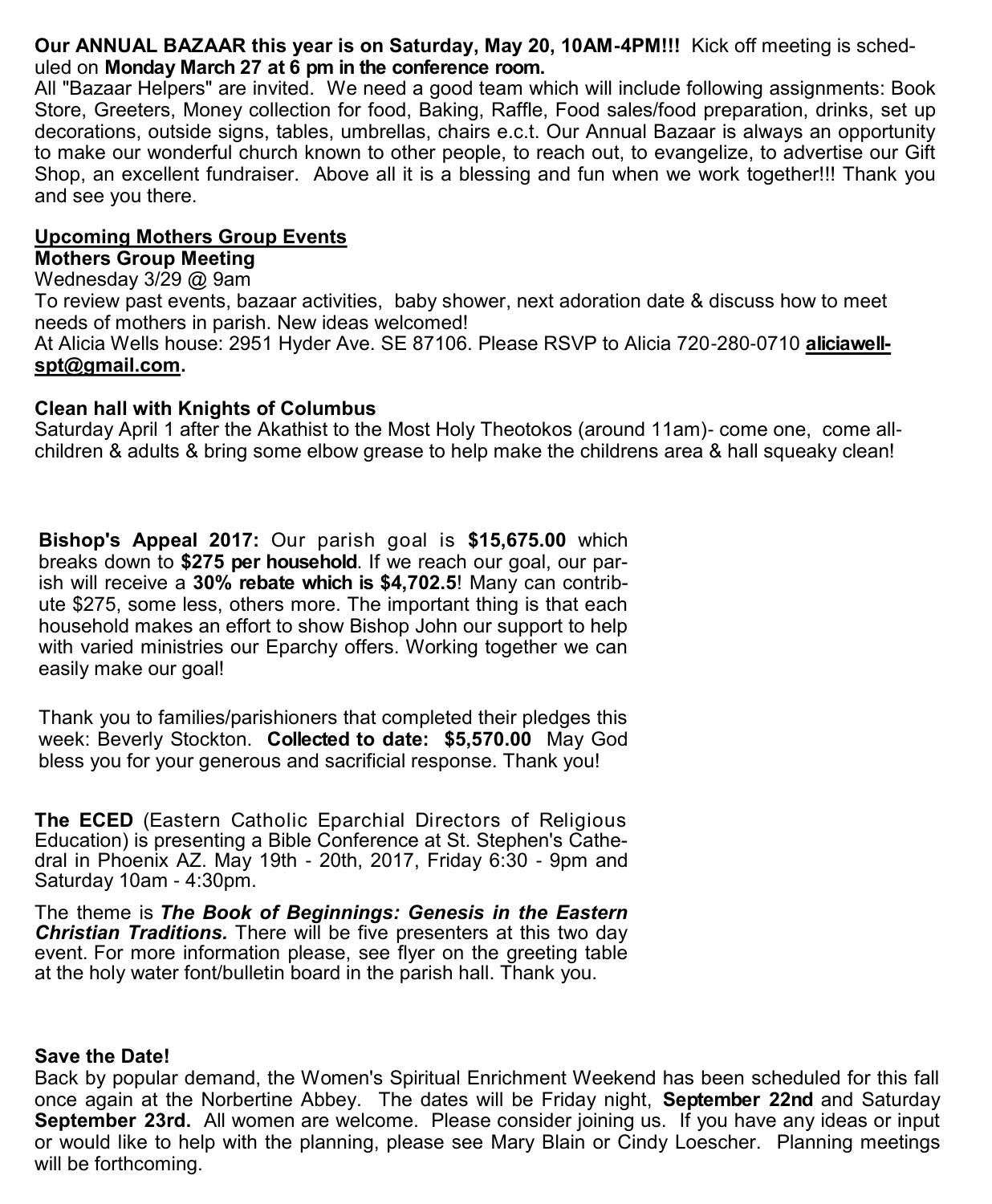### **Our ANNUAL BAZAAR this year is on Saturday, May 20, 10AM-4PM!!!** Kick off meeting is scheduled on **Monday March 27 at 6 pm in the conference room.**

All "Bazaar Helpers" are invited. We need a good team which will include following assignments: Book Store, Greeters, Money collection for food, Baking, Raffle, Food sales/food preparation, drinks, set up decorations, outside signs, tables, umbrellas, chairs e.c.t. Our Annual Bazaar is always an opportunity to make our wonderful church known to other people, to reach out, to evangelize, to advertise our Gift Shop, an excellent fundraiser. Above all it is a blessing and fun when we work together!!! Thank you and see you there.

### **Upcoming Mothers Group Events**

### **Mothers Group Meeting**

Wednesday 3/29 @ 9am

To review past events, bazaar activities, baby shower, next adoration date & discuss how to meet needs of mothers in parish. New ideas welcomed!

At Alicia Wells house: 2951 Hyder Ave. SE 87106. Please RSVP to Alicia 720-280-0710 **[aliciawell](mailto:aliciawellspt@gmail.com)[spt@gmail.com.](mailto:aliciawellspt@gmail.com)**

### **Clean hall with Knights of Columbus**

Saturday April 1 after the Akathist to the Most Holy Theotokos (around 11am)- come one, come allchildren & adults & bring some elbow grease to help make the childrens area & hall squeaky clean!

**Bishop's Appeal 2017:** Our parish goal is **\$15,675.00** which breaks down to **\$275 per household**. If we reach our goal, our parish will receive a **30% rebate which is \$4,702.5**! Many can contribute \$275, some less, others more. The important thing is that each household makes an effort to show Bishop John our support to help with varied ministries our Eparchy offers. Working together we can easily make our goal!

Thank you to families/parishioners that completed their pledges this week: Beverly Stockton. **Collected to date: \$5,570.00** May God bless you for your generous and sacrificial response. Thank you!

**The ECED** (Eastern Catholic Eparchial Directors of Religious Education) is presenting a Bible Conference at St. Stephen's Cathedral in Phoenix AZ. May 19th - 20th, 2017, Friday 6:30 - 9pm and Saturday 10am - 4:30pm.

The theme is *The Book of Beginnings: Genesis in the Eastern Christian Traditions.* There will be five presenters at this two day event. For more information please, see flyer on the greeting table at the holy water font/bulletin board in the parish hall. Thank you.

### **Save the Date!**

Back by popular demand, the Women's Spiritual Enrichment Weekend has been scheduled for this fall once again at the Norbertine Abbey. The dates will be Friday night, **September 22nd** and Saturday **September 23rd.** All women are welcome. Please consider joining us. If you have any ideas or input or would like to help with the planning, please see Mary Blain or Cindy Loescher. Planning meetings will be forthcoming.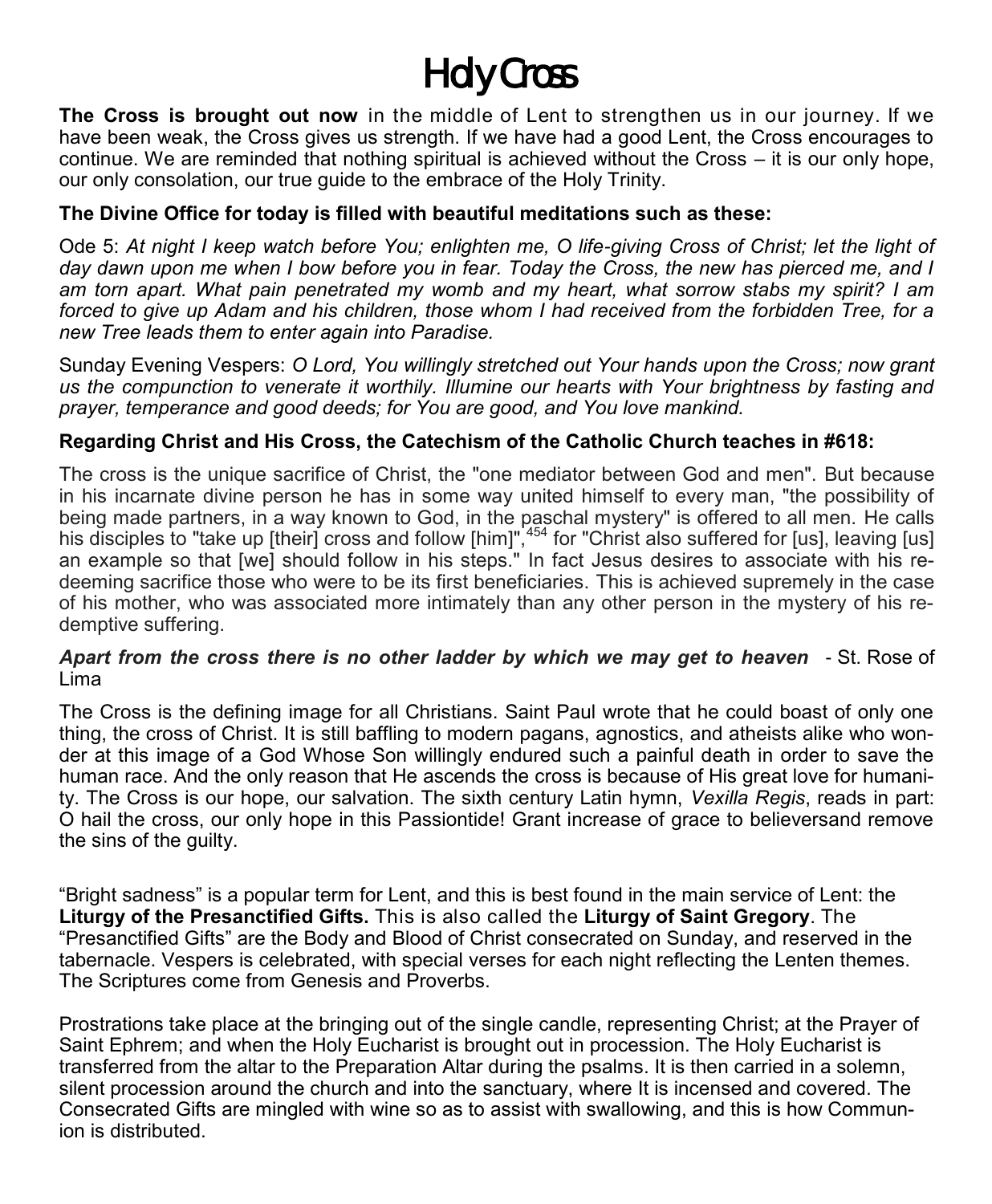# *Holy Cross*

**The Cross is brought out now** in the middle of Lent to strengthen us in our journey. If we have been weak, the Cross gives us strength. If we have had a good Lent, the Cross encourages to continue. We are reminded that nothing spiritual is achieved without the Cross – it is our only hope, our only consolation, our true guide to the embrace of the Holy Trinity.

## **The Divine Office for today is filled with beautiful meditations such as these:**

Ode 5: *At night I keep watch before You; enlighten me, O life-giving Cross of Christ; let the light of day dawn upon me when I bow before you in fear. Today the Cross, the new has pierced me, and I am torn apart. What pain penetrated my womb and my heart, what sorrow stabs my spirit? I am forced to give up Adam and his children, those whom I had received from the forbidden Tree, for a new Tree leads them to enter again into Paradise.*

Sunday Evening Vespers: *O Lord, You willingly stretched out Your hands upon the Cross; now grant us the compunction to venerate it worthily. Illumine our hearts with Your brightness by fasting and prayer, temperance and good deeds; for You are good, and You love mankind.* 

# **Regarding Christ and His Cross, the Catechism of the Catholic Church teaches in #618:**

The cross is the unique sacrifice of Christ, the "one mediator between God and men". But because in his incarnate divine person he has in some way united himself to every man, "the possibility of being made partners, in a way known to God, in the paschal mystery" is offered to all men. He calls his disciples to "take up [their] cross and follow [him]",<sup>454</sup> for "Christ also suffered for [us], leaving [us] an example so that [we] should follow in his steps." In fact Jesus desires to associate with his redeeming sacrifice those who were to be its first beneficiaries. This is achieved supremely in the case of his mother, who was associated more intimately than any other person in the mystery of his redemptive suffering.

### *Apart from the cross there is no other ladder by which we may get to heaven*- St. Rose of Lima

The Cross is the defining image for all Christians. Saint Paul wrote that he could boast of only one thing, the cross of Christ. It is still baffling to modern pagans, agnostics, and atheists alike who wonder at this image of a God Whose Son willingly endured such a painful death in order to save the human race. And the only reason that He ascends the cross is because of His great love for humanity. The Cross is our hope, our salvation. The sixth century Latin hymn, *Vexilla Regis*, reads in part: O hail the cross, our only hope in this Passiontide! Grant increase of grace to believersand remove the sins of the guilty.

"Bright sadness" is a popular term for Lent, and this is best found in the main service of Lent: the **Liturgy of the Presanctified Gifts.** This is also called the **Liturgy of Saint Gregory**. The "Presanctified Gifts" are the Body and Blood of Christ consecrated on Sunday, and reserved in the tabernacle. Vespers is celebrated, with special verses for each night reflecting the Lenten themes. The Scriptures come from Genesis and Proverbs.

Prostrations take place at the bringing out of the single candle, representing Christ; at the Prayer of Saint Ephrem; and when the Holy Eucharist is brought out in procession. The Holy Eucharist is transferred from the altar to the Preparation Altar during the psalms. It is then carried in a solemn, silent procession around the church and into the sanctuary, where It is incensed and covered. The Consecrated Gifts are mingled with wine so as to assist with swallowing, and this is how Communion is distributed.